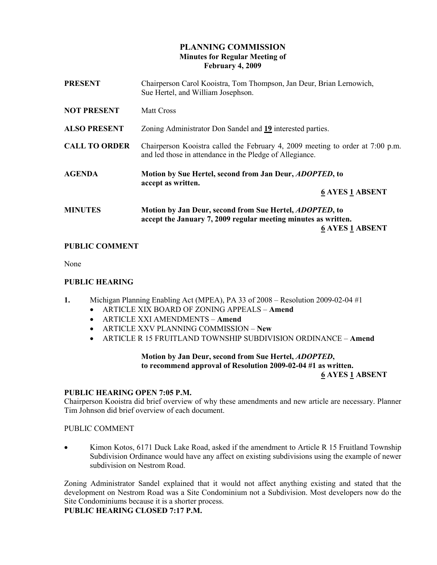# PLANNING COMMISSION Minutes for Regular Meeting of February 4, 2009

| <b>PRESENT</b>       | Chairperson Carol Kooistra, Tom Thompson, Jan Deur, Brian Lernowich,<br>Sue Hertel, and William Josephson.                                                  |
|----------------------|-------------------------------------------------------------------------------------------------------------------------------------------------------------|
| <b>NOT PRESENT</b>   | <b>Matt Cross</b>                                                                                                                                           |
| <b>ALSO PRESENT</b>  | Zoning Administrator Don Sandel and 19 interested parties.                                                                                                  |
| <b>CALL TO ORDER</b> | Chairperson Kooistra called the February 4, 2009 meeting to order at 7:00 p.m.<br>and led those in attendance in the Pledge of Allegiance.                  |
| <b>AGENDA</b>        | Motion by Sue Hertel, second from Jan Deur, <i>ADOPTED</i> , to<br>accept as written.<br><b>6 AYES 1 ABSENT</b>                                             |
| <b>MINUTES</b>       | Motion by Jan Deur, second from Sue Hertel, <i>ADOPTED</i> , to<br>accept the January 7, 2009 regular meeting minutes as written.<br><b>6 AYES 1 ABSENT</b> |

# PUBLIC COMMENT

None

### PUBLIC HEARING

- 1. Michigan Planning Enabling Act (MPEA), PA 33 of 2008 Resolution 2009-02-04 #1
	- ARTICLE XIX BOARD OF ZONING APPEALS Amend
	- ARTICLE XXI AMENDMENTS Amend
	- ARTICLE XXV PLANNING COMMISSION New
	- ARTICLE R 15 FRUITLAND TOWNSHIP SUBDIVISION ORDINANCE Amend

# Motion by Jan Deur, second from Sue Hertel, ADOPTED, to recommend approval of Resolution 2009-02-04 #1 as written.

#### 6 AYES 1 ABSENT

### PUBLIC HEARING OPEN 7:05 P.M.

Chairperson Kooistra did brief overview of why these amendments and new article are necessary. Planner Tim Johnson did brief overview of each document.

#### PUBLIC COMMENT

• Kimon Kotos, 6171 Duck Lake Road, asked if the amendment to Article R 15 Fruitland Township Subdivision Ordinance would have any affect on existing subdivisions using the example of newer subdivision on Nestrom Road.

Zoning Administrator Sandel explained that it would not affect anything existing and stated that the development on Nestrom Road was a Site Condominium not a Subdivision. Most developers now do the Site Condominiums because it is a shorter process.

PUBLIC HEARING CLOSED 7:17 P.M.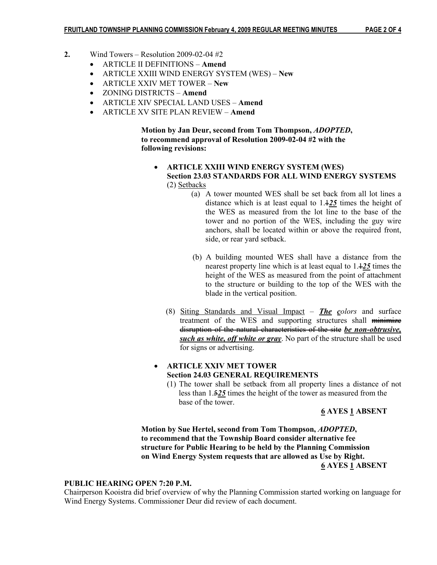- 2. Wind Towers Resolution 2009-02-04  $#2$ 
	- ARTICLE II DEFINITIONS Amend
	- ARTICLE XXIII WIND ENERGY SYSTEM (WES) New
	- ARTICLE XXIV MET TOWER New
	- ZONING DISTRICTS Amend
	- ARTICLE XIV SPECIAL LAND USES Amend
	- ARTICLE XV SITE PLAN REVIEW Amend

 Motion by Jan Deur, second from Tom Thompson, ADOPTED, to recommend approval of Resolution 2009-02-04 #2 with the following revisions:

- ARTICLE XXIII WIND ENERGY SYSTEM (WES) Section 23.03 STANDARDS FOR ALL WIND ENERGY SYSTEMS (2) Setbacks
	- (a) A tower mounted WES shall be set back from all lot lines a distance which is at least equal to  $1.125$  times the height of the WES as measured from the lot line to the base of the tower and no portion of the WES, including the guy wire anchors, shall be located within or above the required front, side, or rear yard setback.
	- (b) A building mounted WES shall have a distance from the nearest property line which is at least equal to  $1.125$  times the height of the WES as measured from the point of attachment to the structure or building to the top of the WES with the blade in the vertical position.
	- (8) Siting Standards and Visual Impact  $-$  *The colors* and surface treatment of the WES and supporting structures shall minimize disruption of the natural characteristics of the site be non-obtrusive, such as white, off white or gray. No part of the structure shall be used for signs or advertising.

### • ARTICLE XXIV MET TOWER Section 24.03 GENERAL REQUIREMENTS

(1) The tower shall be setback from all property lines a distance of not less than 1.525 times the height of the tower as measured from the base of the tower.

#### 6 AYES 1 ABSENT

Motion by Sue Hertel, second from Tom Thompson, ADOPTED, to recommend that the Township Board consider alternative fee structure for Public Hearing to be held by the Planning Commission on Wind Energy System requests that are allowed as Use by Right. 6 AYES 1 ABSENT

#### PUBLIC HEARING OPEN 7:20 P.M.

Chairperson Kooistra did brief overview of why the Planning Commission started working on language for Wind Energy Systems. Commissioner Deur did review of each document.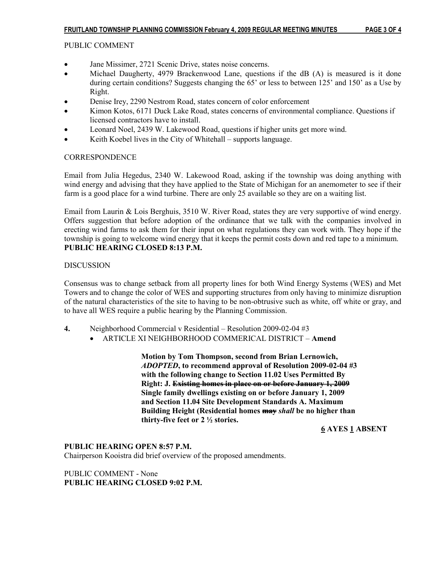# PUBLIC COMMENT

- Jane Missimer, 2721 Scenic Drive, states noise concerns.
- Michael Daugherty, 4979 Brackenwood Lane, questions if the dB (A) is measured is it done during certain conditions? Suggests changing the 65' or less to between 125' and 150' as a Use by Right.
- Denise Irey, 2290 Nestrom Road, states concern of color enforcement
- Kimon Kotos, 6171 Duck Lake Road, states concerns of environmental compliance. Questions if licensed contractors have to install.
- Leonard Noel, 2439 W. Lakewood Road, questions if higher units get more wind.
- Keith Koebel lives in the City of Whitehall supports language.

# **CORRESPONDENCE**

Email from Julia Hegedus, 2340 W. Lakewood Road, asking if the township was doing anything with wind energy and advising that they have applied to the State of Michigan for an anemometer to see if their farm is a good place for a wind turbine. There are only 25 available so they are on a waiting list.

Email from Laurin & Lois Berghuis, 3510 W. River Road, states they are very supportive of wind energy. Offers suggestion that before adoption of the ordinance that we talk with the companies involved in erecting wind farms to ask them for their input on what regulations they can work with. They hope if the township is going to welcome wind energy that it keeps the permit costs down and red tape to a minimum. PUBLIC HEARING CLOSED 8:13 P.M.

# **DISCUSSION**

Consensus was to change setback from all property lines for both Wind Energy Systems (WES) and Met Towers and to change the color of WES and supporting structures from only having to minimize disruption of the natural characteristics of the site to having to be non-obtrusive such as white, off white or gray, and to have all WES require a public hearing by the Planning Commission.

- 4. Neighborhood Commercial v Residential Resolution 2009-02-04 #3
	- ARTICLE XI NEIGHBORHOOD COMMERICAL DISTRICT Amend

 Motion by Tom Thompson, second from Brian Lernowich, ADOPTED, to recommend approval of Resolution 2009-02-04 #3 with the following change to Section 11.02 Uses Permitted By Right: J. Existing homes in place on or before January 1, 2009 Single family dwellings existing on or before January 1, 2009 and Section 11.04 Site Development Standards A. Maximum Building Height (Residential homes **may** shall be no higher than thirty-five feet or 2 ½ stories.

6 AYES 1 ABSENT

# PUBLIC HEARING OPEN 8:57 P.M.

Chairperson Kooistra did brief overview of the proposed amendments.

PUBLIC COMMENT - None PUBLIC HEARING CLOSED 9:02 P.M.